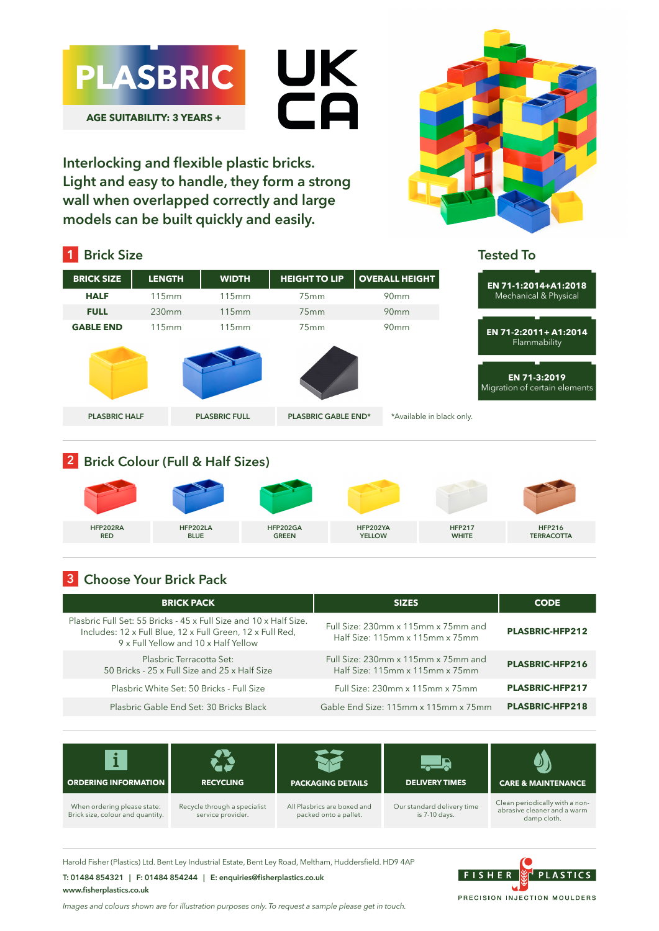

**Interlocking and flexible plastic bricks. Light and easy to handle, they form a strong wall when overlapped correctly and large models can be built quickly and easily.**



#### **BRICK SIZE LENGTH WIDTH HEIGHT TO LIP OVERALL HEIGHT HALF** 115mm 115mm 75mm 90mm **FULL** 230mm 115mm 75mm 90mm **GABLE END** 115mm 115mm 75mm 90mm **1 Brick Size PLASBRIC HALF PLASBRIC FULL PLASBRIC GABLE END\*** \*Available in black only. **EN 71-1:2014+A1:2018**  Mechanical & Physical **Tested To EN 71-2:2011+ A1:2014**  Flammability **EN 71-3:2019** Migration of certain elements

## **2 Brick Colour (Full & Half Sizes)**



## **3 Choose Your Brick Pack**

| <b>BRICK PACK</b>                                                                                                                                                      | <b>SIZES</b>                                                           | <b>CODE</b>            |
|------------------------------------------------------------------------------------------------------------------------------------------------------------------------|------------------------------------------------------------------------|------------------------|
| Plasbric Full Set: 55 Bricks - 45 x Full Size and 10 x Half Size.<br>Includes: 12 x Full Blue, 12 x Full Green, 12 x Full Red,<br>9 x Full Yellow and 10 x Half Yellow | Full Size: 230mm x 115mm x 75mm and<br>Half Size: 115mm x 115mm x 75mm | <b>PLASBRIC-HFP212</b> |
| Plasbric Terracotta Set:<br>50 Bricks - 25 x Full Size and 25 x Half Size                                                                                              | Full Size: 230mm x 115mm x 75mm and<br>Half Size: 115mm x 115mm x 75mm | PLASBRIC-HFP216        |
| Plasbric White Set: 50 Bricks - Full Size                                                                                                                              | Full Size: 230mm x 115mm x 75mm                                        | <b>PLASBRIC-HFP217</b> |
| Plasbric Gable End Set: 30 Bricks Black                                                                                                                                | Gable End Size: 115mm x 115mm x 75mm                                   | <b>PLASBRIC-HFP218</b> |



Harold Fisher (Plastics) Ltd. Bent Ley Industrial Estate, Bent Ley Road, Meltham, Huddersfield. HD9 4AP

### **T: 01484 854321 | F: 01484 854244 | E: enquiries@fisherplastics.co.uk www.fisherplastics.co.uk**

*Images and colours shown are for illustration purposes only. To request a sample please get in touch.*

FISHER **PLASTICS** PRECISION INJECTION MOULDERS